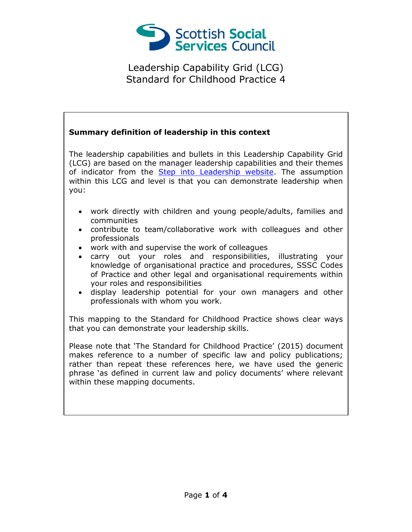

## **Summary definition of leadership in this context**

The leadership capabilities and bullets in this Leadership Capability Grid (LCG) are based on the manager leadership capabilities and their themes of indicator from the [Step into Leadership website.](http://www.stepintoleadership.info/) The assumption within this LCG and level is that you can demonstrate leadership when you:

- work directly with children and young people/adults, families and communities
- contribute to team/collaborative work with colleagues and other professionals
- work with and supervise the work of colleagues
- carry out your roles and responsibilities, illustrating your knowledge of organisational practice and procedures, SSSC Codes of Practice and other legal and organisational requirements within your roles and responsibilities
- display leadership potential for your own managers and other professionals with whom you work.

This mapping to the Standard for Childhood Practice shows clear ways that you can demonstrate your leadership skills.

Please note that 'The Standard for Childhood Practice' (2015) document makes reference to a number of specific law and policy publications; rather than repeat these references here, we have used the generic phrase 'as defined in current law and policy documents' where relevant within these mapping documents.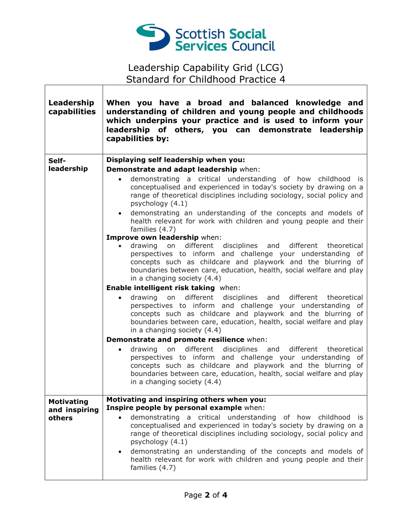

٦

 $\overline{\Gamma}$ 

Τ

| Leadership<br>capabilities | When you have a broad and balanced knowledge and<br>understanding of children and young people and childhoods<br>which underpins your practice and is used to inform your<br>leadership of others, you can demonstrate leadership<br>capabilities by:                                                                                                                                                                                          |
|----------------------------|------------------------------------------------------------------------------------------------------------------------------------------------------------------------------------------------------------------------------------------------------------------------------------------------------------------------------------------------------------------------------------------------------------------------------------------------|
| Self-                      | Displaying self leadership when you:                                                                                                                                                                                                                                                                                                                                                                                                           |
| leadership                 | Demonstrate and adapt leadership when:                                                                                                                                                                                                                                                                                                                                                                                                         |
|                            | demonstrating a critical understanding of how childhood is<br>$\bullet$<br>conceptualised and experienced in today's society by drawing on a<br>range of theoretical disciplines including sociology, social policy and<br>psychology (4.1)                                                                                                                                                                                                    |
|                            | • demonstrating an understanding of the concepts and models of<br>health relevant for work with children and young people and their<br>families (4.7)                                                                                                                                                                                                                                                                                          |
|                            | Improve own leadership when:                                                                                                                                                                                                                                                                                                                                                                                                                   |
|                            | different disciplines and<br>different<br>drawing on<br>theoretical<br>$\bullet$<br>perspectives to inform and challenge your understanding of<br>concepts such as childcare and playwork and the blurring of<br>boundaries between care, education, health, social welfare and play<br>in a changing society (4.4)                                                                                                                            |
|                            | Enable intelligent risk taking when:                                                                                                                                                                                                                                                                                                                                                                                                           |
|                            | drawing on different disciplines and different theoretical<br>$\bullet$<br>perspectives to inform and challenge your understanding of<br>concepts such as childcare and playwork and the blurring of<br>boundaries between care, education, health, social welfare and play<br>in a changing society (4.4)                                                                                                                                     |
|                            | Demonstrate and promote resilience when:                                                                                                                                                                                                                                                                                                                                                                                                       |
|                            | different disciplines and different theoretical<br>drawing on<br>$\bullet$<br>perspectives to inform and challenge your understanding of<br>concepts such as childcare and playwork and the blurring of<br>boundaries between care, education, health, social welfare and play<br>in a changing society (4.4)                                                                                                                                  |
| <b>Motivating</b>          | Motivating and inspiring others when you:                                                                                                                                                                                                                                                                                                                                                                                                      |
| and inspiring<br>others    | Inspire people by personal example when:<br>demonstrating a critical understanding of how childhood is<br>conceptualised and experienced in today's society by drawing on a<br>range of theoretical disciplines including sociology, social policy and<br>psychology (4.1)<br>demonstrating an understanding of the concepts and models of<br>$\bullet$<br>health relevant for work with children and young people and their<br>families (4.7) |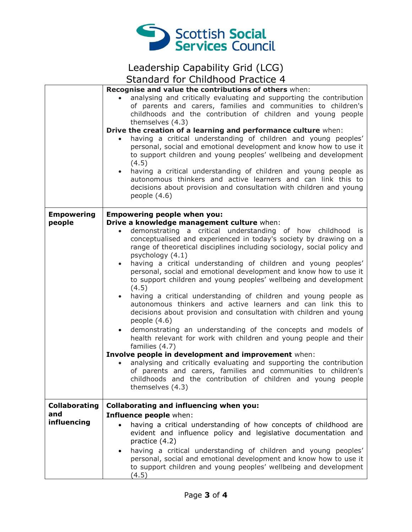

|                      | Recognise and value the contributions of others when:                                                                                                                                                                                                                                                                                                                                                                                                    |
|----------------------|----------------------------------------------------------------------------------------------------------------------------------------------------------------------------------------------------------------------------------------------------------------------------------------------------------------------------------------------------------------------------------------------------------------------------------------------------------|
|                      | analysing and critically evaluating and supporting the contribution<br>of parents and carers, families and communities to children's<br>childhoods and the contribution of children and young people<br>themselves (4.3)                                                                                                                                                                                                                                 |
|                      | Drive the creation of a learning and performance culture when:                                                                                                                                                                                                                                                                                                                                                                                           |
|                      | having a critical understanding of children and young peoples'<br>personal, social and emotional development and know how to use it<br>to support children and young peoples' wellbeing and development<br>(4.5)<br>having a critical understanding of children and young people as<br>$\bullet$<br>autonomous thinkers and active learners and can link this to<br>decisions about provision and consultation with children and young<br>people $(4.6)$ |
|                      |                                                                                                                                                                                                                                                                                                                                                                                                                                                          |
| <b>Empowering</b>    | <b>Empowering people when you:</b>                                                                                                                                                                                                                                                                                                                                                                                                                       |
| people               | Drive a knowledge management culture when:<br>demonstrating a critical understanding of how childhood is<br>conceptualised and experienced in today's society by drawing on a<br>range of theoretical disciplines including sociology, social policy and<br>psychology (4.1)<br>having a critical understanding of children and young peoples'<br>$\bullet$<br>personal, social and emotional development and know how to use it                         |
|                      | to support children and young peoples' wellbeing and development<br>(4.5)                                                                                                                                                                                                                                                                                                                                                                                |
|                      | having a critical understanding of children and young people as<br>$\bullet$<br>autonomous thinkers and active learners and can link this to<br>decisions about provision and consultation with children and young<br>people (4.6)                                                                                                                                                                                                                       |
|                      | • demonstrating an understanding of the concepts and models of<br>health relevant for work with children and young people and their<br>families (4.7)                                                                                                                                                                                                                                                                                                    |
|                      | Involve people in development and improvement when:<br>analysing and critically evaluating and supporting the contribution<br>of parents and carers, families and communities to children's<br>childhoods and the contribution of children and young people<br>themselves (4.3)                                                                                                                                                                          |
| <b>Collaborating</b> | <b>Collaborating and influencing when you:</b>                                                                                                                                                                                                                                                                                                                                                                                                           |
| and                  | Influence people when:                                                                                                                                                                                                                                                                                                                                                                                                                                   |
| influencing          | having a critical understanding of how concepts of childhood are<br>evident and influence policy and legislative documentation and<br>practice (4.2)                                                                                                                                                                                                                                                                                                     |
|                      | having a critical understanding of children and young peoples'<br>$\bullet$<br>personal, social and emotional development and know how to use it<br>to support children and young peoples' wellbeing and development<br>(4.5)                                                                                                                                                                                                                            |